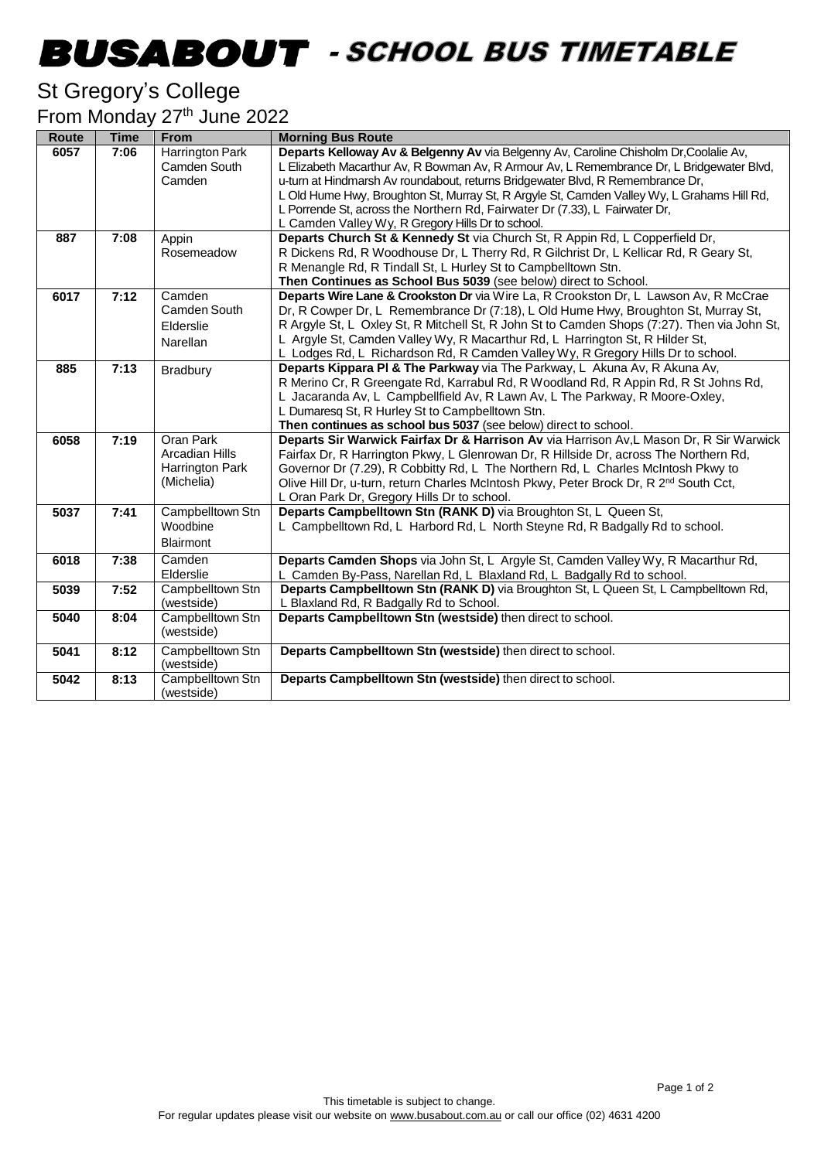## -

## St Gregory's College

From Monday 27<sup>th</sup> June 2022

| Route | <b>Time</b> | <b>From</b>                                                  | <b>Morning Bus Route</b>                                                                                                                                                                                                                                                                                                                                                                                                                                                                               |
|-------|-------------|--------------------------------------------------------------|--------------------------------------------------------------------------------------------------------------------------------------------------------------------------------------------------------------------------------------------------------------------------------------------------------------------------------------------------------------------------------------------------------------------------------------------------------------------------------------------------------|
| 6057  | 7:06        | Harrington Park<br>Camden South<br>Camden                    | Departs Kelloway Av & Belgenny Av via Belgenny Av, Caroline Chisholm Dr, Coolalie Av,<br>L Elizabeth Macarthur Av, R Bowman Av, R Armour Av, L Remembrance Dr, L Bridgewater Blvd,<br>u-turn at Hindmarsh Av roundabout, returns Bridgewater Blvd, R Remembrance Dr,<br>L Old Hume Hwy, Broughton St, Murray St, R Argyle St, Camden Valley Wy, L Grahams Hill Rd,<br>L Porrende St, across the Northern Rd, Fairwater Dr (7.33), L Fairwater Dr,<br>L Camden Valley Wy, R Gregory Hills Dr to school. |
| 887   | 7:08        | Appin<br>Rosemeadow                                          | Departs Church St & Kennedy St via Church St, R Appin Rd, L Copperfield Dr,<br>R Dickens Rd, R Woodhouse Dr, L Therry Rd, R Gilchrist Dr, L Kellicar Rd, R Geary St,<br>R Menangle Rd, R Tindall St, L Hurley St to Campbelltown Stn.<br>Then Continues as School Bus 5039 (see below) direct to School.                                                                                                                                                                                               |
| 6017  | 7:12        | Camden<br>Camden South<br>Elderslie<br>Narellan              | Departs Wire Lane & Crookston Dr via Wire La, R Crookston Dr, L Lawson Av, R McCrae<br>Dr, R Cowper Dr, L Remembrance Dr (7:18), L Old Hume Hwy, Broughton St, Murray St,<br>R Argyle St, L Oxley St, R Mitchell St, R John St to Camden Shops (7:27). Then via John St,<br>L Argyle St, Camden Valley Wy, R Macarthur Rd, L Harrington St, R Hilder St,<br>L Lodges Rd, L Richardson Rd, R Camden Valley Wy, R Gregory Hills Dr to school.                                                            |
| 885   | 7:13        | Bradbury                                                     | Departs Kippara PI & The Parkway via The Parkway, L Akuna Av, R Akuna Av,<br>R Merino Cr, R Greengate Rd, Karrabul Rd, R Woodland Rd, R Appin Rd, R St Johns Rd,<br>L Jacaranda Av, L Campbellfield Av, R Lawn Av, L The Parkway, R Moore-Oxley,<br>L Dumaresq St, R Hurley St to Campbelltown Stn.<br>Then continues as school bus 5037 (see below) direct to school.                                                                                                                                 |
| 6058  | 7:19        | Oran Park<br>Arcadian Hills<br>Harrington Park<br>(Michelia) | Departs Sir Warwick Fairfax Dr & Harrison Av via Harrison Av, L Mason Dr, R Sir Warwick<br>Fairfax Dr, R Harrington Pkwy, L Glenrowan Dr, R Hillside Dr, across The Northern Rd,<br>Governor Dr (7.29), R Cobbitty Rd, L The Northern Rd, L Charles McIntosh Pkwy to<br>Olive Hill Dr, u-turn, return Charles McIntosh Pkwy, Peter Brock Dr, R 2 <sup>nd</sup> South Cct,<br>L Oran Park Dr, Gregory Hills Dr to school.                                                                               |
| 5037  | 7:41        | Campbelltown Stn<br>Woodbine<br><b>Blairmont</b>             | Departs Campbelltown Stn (RANK D) via Broughton St, L Queen St,<br>L Campbelltown Rd, L Harbord Rd, L North Steyne Rd, R Badgally Rd to school.                                                                                                                                                                                                                                                                                                                                                        |
| 6018  | 7:38        | Camden<br>Elderslie                                          | Departs Camden Shops via John St, L Argyle St, Camden Valley Wy, R Macarthur Rd,<br>L Camden By-Pass, Narellan Rd, L Blaxland Rd, L Badgally Rd to school.                                                                                                                                                                                                                                                                                                                                             |
| 5039  | 7:52        | Campbelltown Stn<br>(westside)                               | Departs Campbelltown Stn (RANK D) via Broughton St, L Queen St, L Campbelltown Rd,<br>L Blaxland Rd, R Badgally Rd to School.                                                                                                                                                                                                                                                                                                                                                                          |
| 5040  | 8:04        | Campbelltown Stn<br>(westside)                               | Departs Campbelltown Stn (westside) then direct to school.                                                                                                                                                                                                                                                                                                                                                                                                                                             |
| 5041  | 8:12        | Campbelltown Stn<br>(westside)                               | Departs Campbelltown Stn (westside) then direct to school.                                                                                                                                                                                                                                                                                                                                                                                                                                             |
| 5042  | 8:13        | Campbelltown Stn<br>(westside)                               | Departs Campbelltown Stn (westside) then direct to school.                                                                                                                                                                                                                                                                                                                                                                                                                                             |